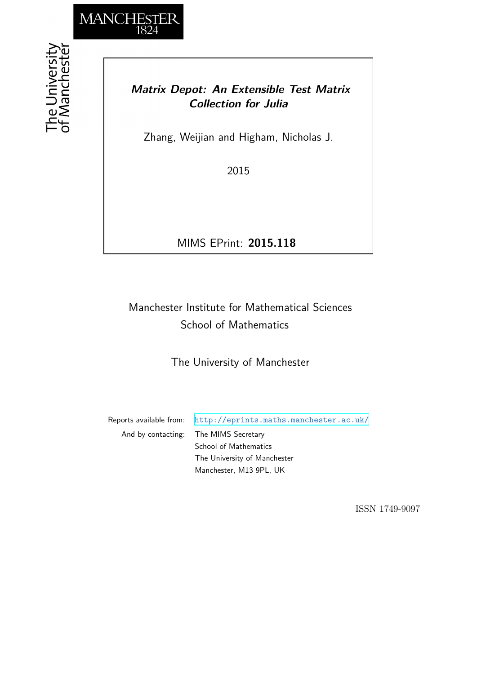

## *Matrix Depot: An Extensible Test Matrix Collection for Julia*

Zhang, Weijian and Higham, Nicholas J.

2015

MIMS EPrint: **2015.118**

# Manchester Institute for Mathematical Sciences School of Mathematics

The University of Manchester

Reports available from: <http://eprints.maths.manchester.ac.uk/> And by contacting: The MIMS Secretary School of Mathematics The University of Manchester

Manchester, M13 9PL, UK

ISSN 1749-9097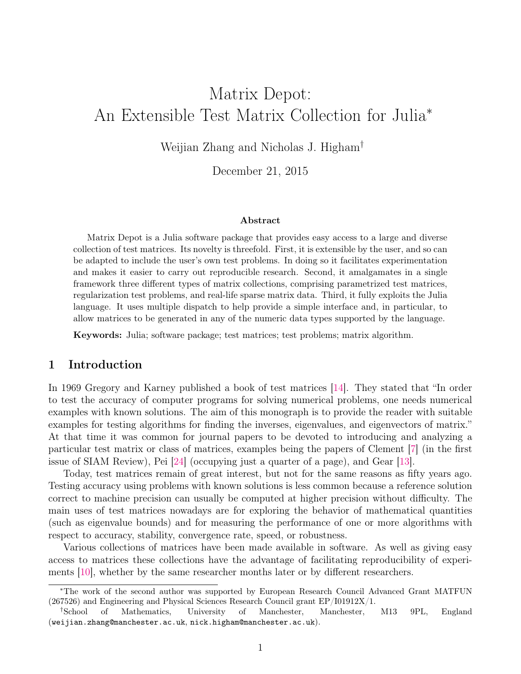# Matrix Depot: An Extensible Test Matrix Collection for Julia<sup>∗</sup>

Weijian Zhang and Nicholas J. Higham†

December 21, 2015

#### Abstract

Matrix Depot is a Julia software package that provides easy access to a large and diverse collection of test matrices. Its novelty is threefold. First, it is extensible by the user, and so can be adapted to include the user's own test problems. In doing so it facilitates experimentation and makes it easier to carry out reproducible research. Second, it amalgamates in a single framework three different types of matrix collections, comprising parametrized test matrices, regularization test problems, and real-life sparse matrix data. Third, it fully exploits the Julia language. It uses multiple dispatch to help provide a simple interface and, in particular, to allow matrices to be generated in any of the numeric data types supported by the language.

Keywords: Julia; software package; test matrices; test problems; matrix algorithm.

#### <span id="page-1-0"></span>1 Introduction

In 1969 Gregory and Karney published a book of test matrices [\[14\]](#page-23-0). They stated that "In order to test the accuracy of computer programs for solving numerical problems, one needs numerical examples with known solutions. The aim of this monograph is to provide the reader with suitable examples for testing algorithms for finding the inverses, eigenvalues, and eigenvectors of matrix." At that time it was common for journal papers to be devoted to introducing and analyzing a particular test matrix or class of matrices, examples being the papers of Clement [\[7\]](#page-23-1) (in the first issue of SIAM Review), Pei [\[24\]](#page-24-0) (occupying just a quarter of a page), and Gear [\[13\]](#page-23-2).

Today, test matrices remain of great interest, but not for the same reasons as fifty years ago. Testing accuracy using problems with known solutions is less common because a reference solution correct to machine precision can usually be computed at higher precision without difficulty. The main uses of test matrices nowadays are for exploring the behavior of mathematical quantities (such as eigenvalue bounds) and for measuring the performance of one or more algorithms with respect to accuracy, stability, convergence rate, speed, or robustness.

Various collections of matrices have been made available in software. As well as giving easy access to matrices these collections have the advantage of facilitating reproducibility of experiments [\[10\]](#page-23-3), whether by the same researcher months later or by different researchers.

<sup>∗</sup>The work of the second author was supported by European Research Council Advanced Grant MATFUN (267526) and Engineering and Physical Sciences Research Council grant EP/I01912X/1.

<sup>†</sup>School of Mathematics, University of Manchester, Manchester, M13 9PL, England (weijian.zhang@manchester.ac.uk, nick.higham@manchester.ac.uk).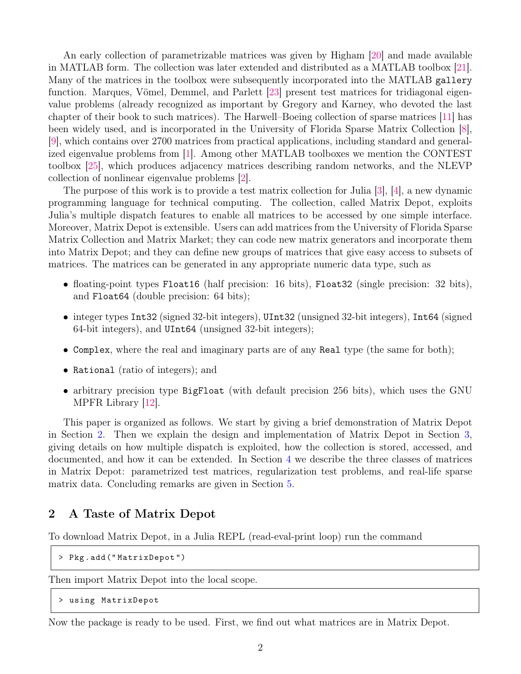An early collection of parametrizable matrices was given by Higham [\[20\]](#page-23-4) and made available in MATLAB form. The collection was later extended and distributed as a MATLAB toolbox [\[21\]](#page-24-1). Many of the matrices in the toolbox were subsequently incorporated into the MATLAB gallery function. Marques, Vömel, Demmel, and Parlett [\[23\]](#page-24-2) present test matrices for tridiagonal eigenvalue problems (already recognized as important by Gregory and Karney, who devoted the last chapter of their book to such matrices). The Harwell–Boeing collection of sparse matrices [\[11\]](#page-23-5) has been widely used, and is incorporated in the University of Florida Sparse Matrix Collection [\[8\]](#page-23-6), [\[9\]](#page-23-7), which contains over 2700 matrices from practical applications, including standard and generalized eigenvalue problems from [\[1\]](#page-22-0). Among other MATLAB toolboxes we mention the CONTEST toolbox [\[25\]](#page-24-3), which produces adjacency matrices describing random networks, and the NLEVP collection of nonlinear eigenvalue problems [\[2\]](#page-22-1).

The purpose of this work is to provide a test matrix collection for Julia [\[3\]](#page-22-2), [\[4\]](#page-22-3), a new dynamic programming language for technical computing. The collection, called Matrix Depot, exploits Julia's multiple dispatch features to enable all matrices to be accessed by one simple interface. Moreover, Matrix Depot is extensible. Users can add matrices from the University of Florida Sparse Matrix Collection and Matrix Market; they can code new matrix generators and incorporate them into Matrix Depot; and they can define new groups of matrices that give easy access to subsets of matrices. The matrices can be generated in any appropriate numeric data type, such as

- floating-point types Float16 (half precision: 16 bits), Float32 (single precision: 32 bits), and Float64 (double precision: 64 bits);
- integer types Int32 (signed 32-bit integers), UInt32 (unsigned 32-bit integers), Int64 (signed 64-bit integers), and UInt64 (unsigned 32-bit integers);
- Complex, where the real and imaginary parts are of any Real type (the same for both);
- Rational (ratio of integers); and
- arbitrary precision type BigFloat (with default precision 256 bits), which uses the GNU MPFR Library [\[12\]](#page-23-8).

This paper is organized as follows. We start by giving a brief demonstration of Matrix Depot in Section [2.](#page-2-0) Then we explain the design and implementation of Matrix Depot in Section [3,](#page-7-0) giving details on how multiple dispatch is exploited, how the collection is stored, accessed, and documented, and how it can be extended. In Section [4](#page-14-0) we describe the three classes of matrices in Matrix Depot: parametrized test matrices, regularization test problems, and real-life sparse matrix data. Concluding remarks are given in Section [5.](#page-21-0)

#### <span id="page-2-0"></span>2 A Taste of Matrix Depot

To download Matrix Depot, in a Julia REPL (read-eval-print loop) run the command

```
> Pkg . add (" MatrixDepot ")
```
Then import Matrix Depot into the local scope.

```
> using MatrixDepot
```
Now the package is ready to be used. First, we find out what matrices are in Matrix Depot.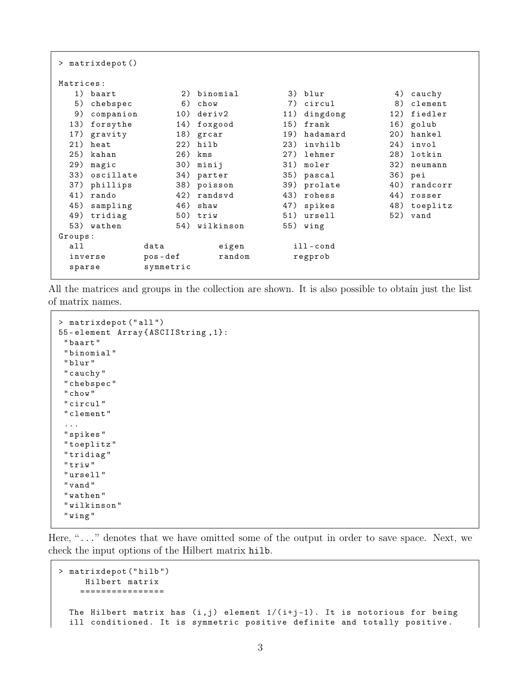| $>$ matrixdepot() |           |           |           |     |             |     |              |  |  |
|-------------------|-----------|-----------|-----------|-----|-------------|-----|--------------|--|--|
| Matrices:         |           |           |           |     |             |     |              |  |  |
|                   | 1) baart  | 2)        | binomial  |     | 3) blur     | 4)  | cauchy       |  |  |
| 5)                | chebspec  | 6)        | chow      | 7)  | circul      | 8)  | $cl$ ement   |  |  |
| 9)                | companion | 10)       | deriv2    | 11) | dingdong    | 12) | fiedler      |  |  |
| 13)               | forsythe  | 14)       | foxgood   | 15) | frank       | 16) | golub        |  |  |
| 17)               | gravity   | 18)       | grcar     | 19) | hadamard    | 20) | hankel       |  |  |
| 21)               | heat      | 22)       | hilb      | 23) | invhilb     | 24) | invol        |  |  |
| 25)               | kahan     | 26)       | kms       | 27) | lehmer      | 28) | lotkin       |  |  |
| 29)               | magic     | 30)       | minij     |     | 31) moler   | 32) | neumann      |  |  |
| 33)               | oscillate | 34)       | parter    |     | 35) pascal  |     | 36) pei      |  |  |
| 37)               | phillips  | 38)       | poisson   |     | 39) prolate | 40) | randcorr     |  |  |
| 41)               | rando     | 42)       | randsvd   |     | 43) rohess  | 44) | rosser       |  |  |
| 45)               | sampling  | 46)       | shaw      |     | 47) spikes  |     | 48) toeplitz |  |  |
| 49)               | tridiag   | 50)       | triw      |     | 51) ursell  |     | 52) vand     |  |  |
| 53)               | wathen    | 54)       | wilkinson |     | 55) wing    |     |              |  |  |
| Groups:           |           |           |           |     |             |     |              |  |  |
| all               |           | data      | eigen     |     | $i11$ -cond |     |              |  |  |
| inverse           |           | $pos-def$ | random    |     | regprob     |     |              |  |  |
| sparse            |           | symmetric |           |     |             |     |              |  |  |
|                   |           |           |           |     |             |     |              |  |  |

All the matrices and groups in the collection are shown. It is also possible to obtain just the list of matrix names.

```
> matrixdepot (" all ")
55 - element Array { ASCIIString ,1}:
 " baart "
 " binomial "
 " blur "
 " cauchy "
 " chebspec "
 " chow "
 " circul "
 " clement "
 ...
 " spikes "
 " toeplitz "
 " tridiag "
 " triw "
 " ursell "
 " vand "
 " wathen "
 " wilkinson "
 " wing "
```
Here, "..." denotes that we have omitted some of the output in order to save space. Next, we check the input options of the Hilbert matrix hilb.

```
> matrixdepot (" hilb ")
     Hilbert matrix
    ================
  The Hilbert matrix has (i, j) element 1/(i+j-1). It is notorious for being
  ill conditioned. It is symmetric positive definite and totally positive.
```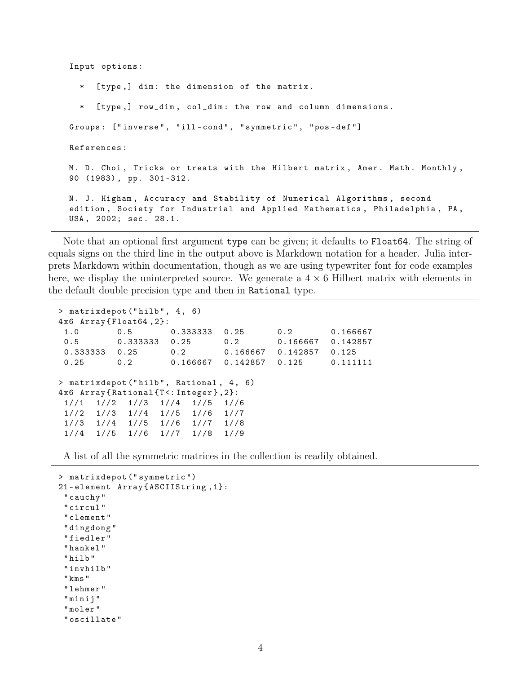```
Input options :
```
[type,] dim: the dimension of the matrix.

\* [ type ,] row\_dim , col\_dim : the row and column dimensions . Groups: ["inverse", "ill-cond", "symmetric", "pos-def"] References : M. D. Choi, Tricks or treats with the Hilbert matrix, Amer. Math. Monthly, 90 (1983), pp. 301-312. N. J. Higham, Accuracy and Stability of Numerical Algorithms, second edition, Society for Industrial and Applied Mathematics, Philadelphia, PA, USA , 2002; sec . 28.1.

Note that an optional first argument type can be given; it defaults to Float64. The string of equals signs on the third line in the output above is Markdown notation for a header. Julia interprets Markdown within documentation, though as we are using typewriter font for code examples here, we display the uninterpreted source. We generate a  $4 \times 6$  Hilbert matrix with elements in the default double precision type and then in Rational type.

```
> matrixdepot ("hilb", 4, 6)
4 x6 Array { Float64 ,2}:
1.0 0.5 0.333333 0.25 0.2 0.166667
0.5 0.333333 0.25 0.2 0.166667 0.142857
0.333333 0.25 0.2 0.166667 0.142857 0.125
0.25 0.2 0.166667 0.142857 0.125 0.111111
> matrixdepot (" hilb " , Rational , 4 , 6)
4 x6 Array { Rational {T <: Integer } ,2}:
1//1 1//2 1//3 1//4 1//5 1//6
1//2 1//3 1//4 1//5 1//6 1//7
1//3 1//4 1//5 1//6 1//7 1//8
1//4 1//5 1//6 1//7 1//8 1//9
```
A list of all the symmetric matrices in the collection is readily obtained.

```
> matrixdepot (" symmetric ")
21 - element Array { ASCIIString ,1}:
 " cauchy "
 " circul "
 " clement "
 " dingdong "
 " fiedler "
 " hankel "
 " hilb "
 " invhilb "
 " kms "
 " lehmer "
 " minij "
 " moler "
 " oscillate "
```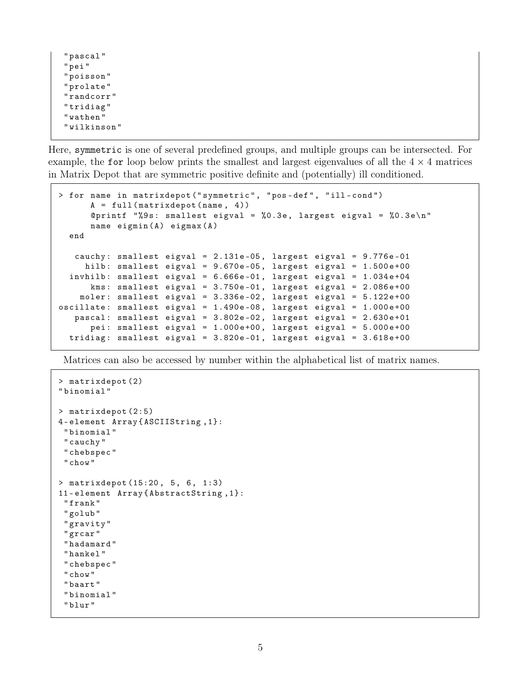" pascal " " pei " " poisson " " prolate " " randcorr " " tridiag " " wathen " " wilkinson "

Here, symmetric is one of several predefined groups, and multiple groups can be intersected. For example, the for loop below prints the smallest and largest eigenvalues of all the  $4 \times 4$  matrices in Matrix Depot that are symmetric positive definite and (potentially) ill conditioned.

```
> for name in matrixdepot (" symmetric " , " pos - def " , " ill - cond ")
      A = full(matrix-dependent(name, 4))@printf "%9s: smallest eigval = %0.3e, largest eigval = %0.3e\n"
      name e^{i\pi x} (A) e^{i\pi x} (A)
 end
  cauchy: smallest eigval = 2.131e-05, largest eigval = 9.776e-01hilb: smallest eigval = 9.670e-05, largest eigval = 1.500e+00invhilb: smallest eigval = 6.666e-01, largest eigval = 1.034e+04kms: smallest eigval = 3.750e-01, largest eigval = 2.086e+00moler: smallest eigval = 3.336e-02, largest eigval = 5.122e+00oscillate: smallest eigval = 1.490e-08, largest eigval = 1.000e+00pascal: smallest eigval = 3.802e-02, largest eigval = 2.630e+01pei: smallest eigval = 1.000e+00, largest eigval = 5.000e+00tridiag: smallest eigval = 3.820e-01, largest eigval = 3.618e+00
```
Matrices can also be accessed by number within the alphabetical list of matrix names.

```
> matrixdepot (2)
" binomial "
> matrixdepot (2:5)
4 - element Array { ASCIIString ,1}:
 " binomial "
 " cauchy "
 " chebspec "
 " chow "
> matrixdepot (15:20, 5, 6, 1:3)
11 - element Array { AbstractString ,1}:
 " frank "
 " golub "
 " gravity "
 " grcar "
 " hadamard "
 " hankel "
 " chebspec "
 " chow "
 " baart "
 " binomial "
 " blur "
```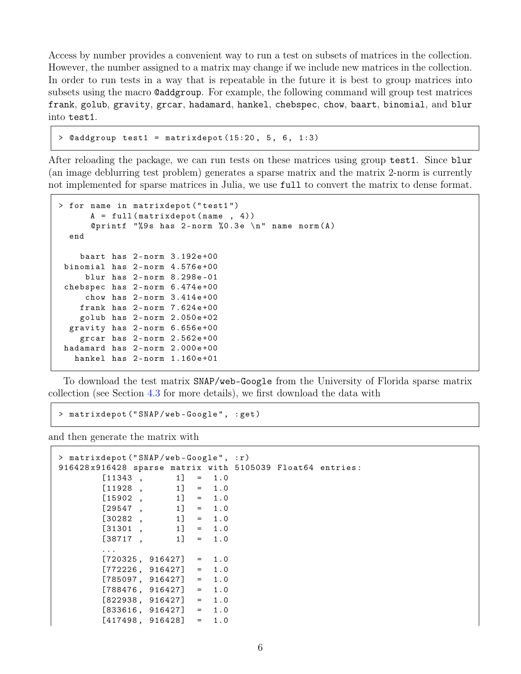Access by number provides a convenient way to run a test on subsets of matrices in the collection. However, the number assigned to a matrix may change if we include new matrices in the collection. In order to run tests in a way that is repeatable in the future it is best to group matrices into subsets using the macro @addgroup. For example, the following command will group test matrices frank, golub, gravity, grcar, hadamard, hankel, chebspec, chow, baart, binomial, and blur into test1.

```
> @addgroup test1 = matrixdepot (15:20, 5, 6, 1:3)
```
After reloading the package, we can run tests on these matrices using group test1. Since blur (an image deblurring test problem) generates a sparse matrix and the matrix 2-norm is currently not implemented for sparse matrices in Julia, we use full to convert the matrix to dense format.

```
> for name in matrixdepot (" test1 ")
      A = full(matrix-dependent(name, 4))@printf "%9s has 2-norm %0.3e \n" name norm (A)end
   baart has 2-norm 3.192e+00binomial has 2-norm 4.576e+00
    blur has 2-norm 8.298e-01
chebspec has 2-norm 6.474e+00chow has 2-norm 3.414e+00frank has 2-norm 7.624e+00golub has 2 - norm 2.050 e +02
 gravity has 2-norm 6.656e+00grcar has 2-norm 2.562e+00hadamard has 2-norm 2.000e+00
  hankel has 2-norm 1.160e+01
```
To download the test matrix SNAP/web-Google from the University of Florida sparse matrix collection (see Section [4.3](#page-18-0) for more details), we first download the data with

> matrixdepot (" SNAP / web - Google " , : get )

and then generate the matrix with

```
> matrixdepot (" SNAP / web - Google " , : r )
916428 x916428 sparse matrix with 5105039 Float64 entries :
       [11343, 1] = 1.0[11928, 1] = 1.0[15902, 1] = 1.0[29547, 1] = 1.0[30282, 1] = 1.0[31301, 1] = 1.0[38717, 1] = 1.0...
       [720325, 916427] = 1.0[772226, 916427] = 1.0[785097, 916427] = 1.0[788476, 916427] = 1.0[822938, 916427] = 1.0[833616, 916427] = 1.0[417498, 916428] = 1.0
```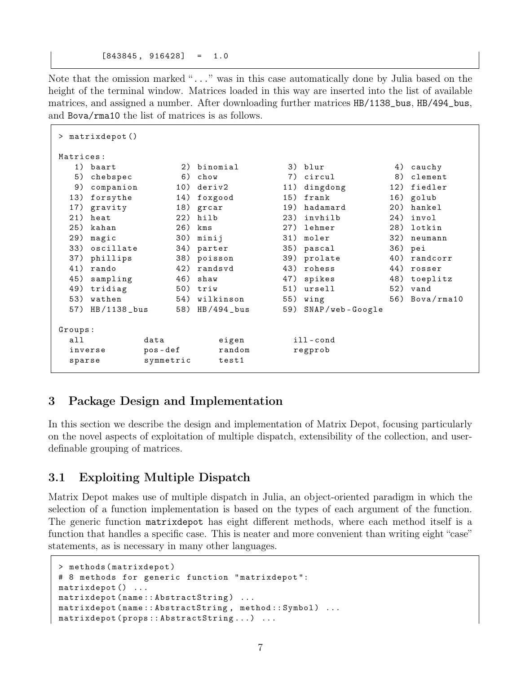$[843845, 916428] = 1.0$ 

Note that the omission marked "..." was in this case automatically done by Julia based on the height of the terminal window. Matrices loaded in this way are inserted into the list of available matrices, and assigned a number. After downloading further matrices HB/1138\_bus, HB/494\_bus, and Bova/rma10 the list of matrices is as follows.

| > matrixdepot()      |           |              |     |                    |     |                  |  |  |
|----------------------|-----------|--------------|-----|--------------------|-----|------------------|--|--|
| Matrices:            |           |              |     |                    |     |                  |  |  |
| 1) baart             | 2)        | binomial     |     | 3) blur            | 4)  | cauchy           |  |  |
| 5)<br>chebspec       | 6)        | chow         | 7)  | circul             | 8)  | clement          |  |  |
| 9)<br>companion      | 10)       | deriv        | 11) | dingdong           | 12) | fiedler          |  |  |
| 13)<br>forsythe      | 14)       | foxgood      | 15) | frank              |     | 16) golub        |  |  |
| 17)<br>gravity       | 18)       | grcar        | 19) | hadamard           | 20) | hankel           |  |  |
| 21)<br>heat          | 22)       | hilb         | 23) | invhilb            | 24) | invol            |  |  |
| 25)<br>kahan         | 26)       | kms          | 27) | lehmer             | 28) | lotkin           |  |  |
| 29)<br>magic         | 30)       | minij        |     | 31) moler          | 32) | neumann          |  |  |
| 33)<br>oscillate     | 34)       | parter       |     | 35) pascal         |     | 36) pei          |  |  |
| 37)<br>phillips      | 38)       | poisson      |     | 39) prolate        | 40) | randcorr         |  |  |
| 41)<br>rando         | 42)       | randsvd      | 43) | rohess             | 44) | rosser           |  |  |
| 45)<br>sampling      | 46)       | shaw         | 47) | spikes             | 48) | toeplitz         |  |  |
| 49)<br>tridiag       |           | $50)$ triw   |     | 51) ursell         |     | $52)$ vand       |  |  |
| 53)<br>wathen        | 54)       | wilkinson    |     | $55)$ wing         |     | $56)$ Bova/rma10 |  |  |
| $HB/1138$ bus<br>57) | 58)       | $HB/494_bus$ | 59) | $SNAP$ /web-Google |     |                  |  |  |
| Groups:              |           |              |     |                    |     |                  |  |  |
| all                  | data      | eigen        |     | ill-cond           |     |                  |  |  |
| inverse              | $pos-def$ | random       |     | regprob            |     |                  |  |  |
| symmetric<br>sparse  |           | test1        |     |                    |     |                  |  |  |

## <span id="page-7-0"></span>3 Package Design and Implementation

In this section we describe the design and implementation of Matrix Depot, focusing particularly on the novel aspects of exploitation of multiple dispatch, extensibility of the collection, and userdefinable grouping of matrices.

## 3.1 Exploiting Multiple Dispatch

Matrix Depot makes use of multiple dispatch in Julia, an object-oriented paradigm in which the selection of a function implementation is based on the types of each argument of the function. The generic function matrixdepot has eight different methods, where each method itself is a function that handles a specific case. This is neater and more convenient than writing eight "case" statements, as is necessary in many other languages.

```
> methods ( matrixdepot )
# 8 methods for generic function " matrixdepot ":
matrixdepot () ...
matrixdepot (name:: AbstractString) ...
matrixdepot (name:: AbstractString, method:: Symbol) ...
matrixdepot ( props :: AbstractString ...) ...
```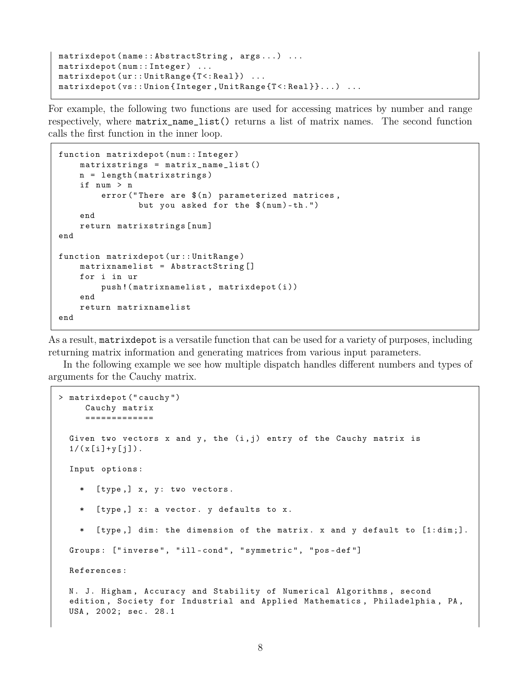```
matrixdepot (name:: AbstractString, args...) ...
matrixdepot (num :: Integer) ...
matrixdepot (ur:: UnitRange {T <: Real }) ...
matrixdepot (vs::Union{Interger}, UnitRange{T <: Real} }...) ...
```
For example, the following two functions are used for accessing matrices by number and range respectively, where matrix\_name\_list() returns a list of matrix names. The second function calls the first function in the inner loop.

```
function matrixdepot (num:: Integer)
    matrixstrings = matrix_name_list ()
    n = length ( matrixstrings )
    if num > n
        error("There are $(n)$ parameterized matrices,but you asked for the $ (num)-th.")
    end
    return matrixstrings [ num ]
end
function matrixdepot ( ur :: UnitRange )
    matrixnamelist = AbstractString []
    for i in ur
        push! (matrixnamelist, matrixdepot(i))
    end
    return matrixnamelist
end
```
As a result, matrixdepot is a versatile function that can be used for a variety of purposes, including returning matrix information and generating matrices from various input parameters.

In the following example we see how multiple dispatch handles different numbers and types of arguments for the Cauchy matrix.

```
> matrixdepot (" cauchy ")
     Cauchy matrix
     =============
 Given two vectors x and y, the (i, j) entry of the Cauchy matrix is
  1/(x[i]+y[j]).Input options :
     [type,] x, y: two vectors.
    * [ type ,] x : a vector . y defaults to x .
    * [ type ,] dim : the dimension of the matrix . x and y default to [1: dim ;].
 Groups: ["inverse", "ill-cond", "symmetric", "pos-def"]
 References :
 N. J. Higham, Accuracy and Stability of Numerical Algorithms, second
 edition, Society for Industrial and Applied Mathematics, Philadelphia, PA,
 USA, 2002; sec. 28.1
```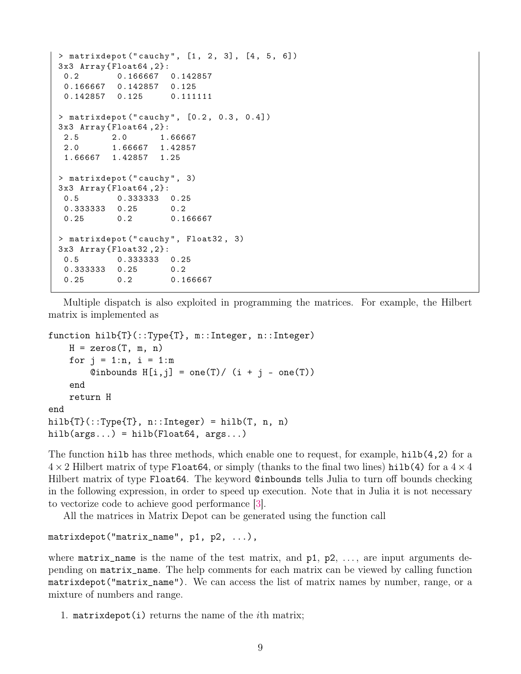```
> matrixdepot ("cauchy", [1, 2, 3], [4, 5, 6])
3 x3 Array { Float64 ,2}:
0.2 0.166667 0.142857
0.166667 0.142857 0.125
 0.142857 0.125 0.111111
> matrixdepot ("cauchy", [0.2, 0.3, 0.4])
3 x3 Array { Float64 ,2}:
2.5 2.0 1.66667
2.0 1.66667 1.42857
1.66667 1.42857 1.25
> matrixdepot (" cauchy " , 3)
3 x3 Array { Float64 ,2}:
0.5 0.333333 0.25
 0.333333 0.25 0.2
0.25 0.2 0.166667
> matrixdepot (" cauchy " , Float32 , 3)
3 x3 Array { Float32 ,2}:
0.5 0.333333 0.25
 0.333333 0.25 0.2
 0.25 0.2 0.166667
```
Multiple dispatch is also exploited in programming the matrices. For example, the Hilbert matrix is implemented as

```
function hilb{T}(::Type{T}, m::Integer, n::Integer)
    H = zeros(T, m, n)for j = 1:n, i = 1:m\text{Qinbounds }\text{H[i, j]} = \text{one}(T) / (i + j - \text{one}(T))end
    return H
end
hilb\{T\}(::Type\{T\}, n::Integer) = hilb(T, n, n)hilb(args...) = hilb(Float64, args...)
```
The function hilb has three methods, which enable one to request, for example, hilb $(4,2)$  for a  $4 \times 2$  Hilbert matrix of type Float 64, or simply (thanks to the final two lines) hilb(4) for a  $4 \times 4$ Hilbert matrix of type Float64. The keyword @inbounds tells Julia to turn off bounds checking in the following expression, in order to speed up execution. Note that in Julia it is not necessary to vectorize code to achieve good performance [\[3\]](#page-22-2).

All the matrices in Matrix Depot can be generated using the function call

```
matrixdepot("matrix_name", p1, p2, ...),
```
where  $\text{matrix_name}$  is the name of the test matrix, and  $p1$ ,  $p2$ , ..., are input arguments depending on matrix\_name. The help comments for each matrix can be viewed by calling function matrixdepot("matrix\_name"). We can access the list of matrix names by number, range, or a mixture of numbers and range.

1. matrixdepot(i) returns the name of the *i*th matrix;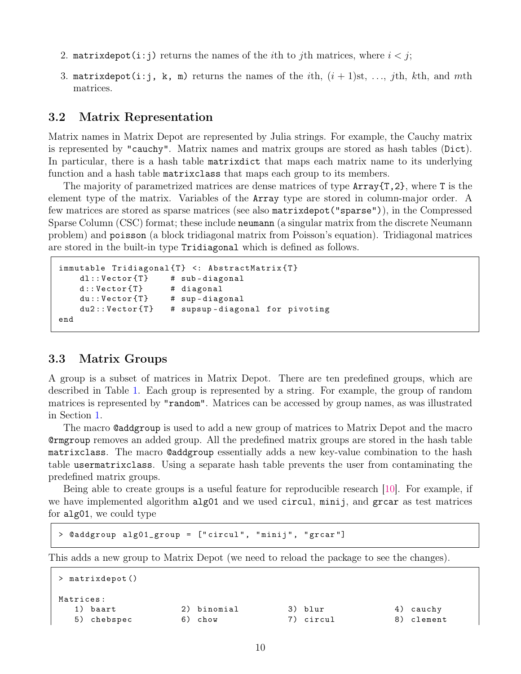- 2. matrixdepot(i:j) returns the names of the *i*th to *j*th matrices, where  $i < j$ ;
- 3. matrixdepot(i:j, k, m) returns the names of the ith,  $(i + 1)$ st, ..., *i*th, kth, and mth matrices.

## 3.2 Matrix Representation

Matrix names in Matrix Depot are represented by Julia strings. For example, the Cauchy matrix is represented by "cauchy". Matrix names and matrix groups are stored as hash tables (Dict). In particular, there is a hash table matrixdict that maps each matrix name to its underlying function and a hash table matrixclass that maps each group to its members.

The majority of parametrized matrices are dense matrices of type  $Array\{T,2\}$ , where T is the element type of the matrix. Variables of the Array type are stored in column-major order. A few matrices are stored as sparse matrices (see also matrixdepot("sparse")), in the Compressed Sparse Column (CSC) format; these include neumann (a singular matrix from the discrete Neumann problem) and poisson (a block tridiagonal matrix from Poisson's equation). Tridiagonal matrices are stored in the built-in type Tridiagonal which is defined as follows.

```
immutable Tridiagonal{T} <: AbstractMatrix{T}dl :: Vector{T} # sub-diagonal
   d :: Vector { T} # diagonal
   du :: Vector\{T\} # sup-diagonal
    du2:: Vector{T} # supsup-diagonal for pivoting
end
```
## <span id="page-10-0"></span>3.3 Matrix Groups

A group is a subset of matrices in Matrix Depot. There are ten predefined groups, which are described in Table [1.](#page-11-0) Each group is represented by a string. For example, the group of random matrices is represented by "random". Matrices can be accessed by group names, as was illustrated in Section [1.](#page-1-0)

The macro @addgroup is used to add a new group of matrices to Matrix Depot and the macro @rmgroup removes an added group. All the predefined matrix groups are stored in the hash table matrixclass. The macro @addgroup essentially adds a new key-value combination to the hash table usermatrixclass. Using a separate hash table prevents the user from contaminating the predefined matrix groups.

Being able to create groups is a useful feature for reproducible research [\[10\]](#page-23-3). For example, if we have implemented algorithm alg01 and we used circul, minij, and grear as test matrices for alg01, we could type

```
> @addgroup alg01_group = [" circul " , " minij " , " grcar "]
```
This adds a new group to Matrix Depot (we need to reload the package to see the changes).

```
> matrixdepot ()
Matrices :
 1) baart 2) binomial 3) blur 4) cauchy
 5) chebspec 6) chow 7) circul 8) clement
```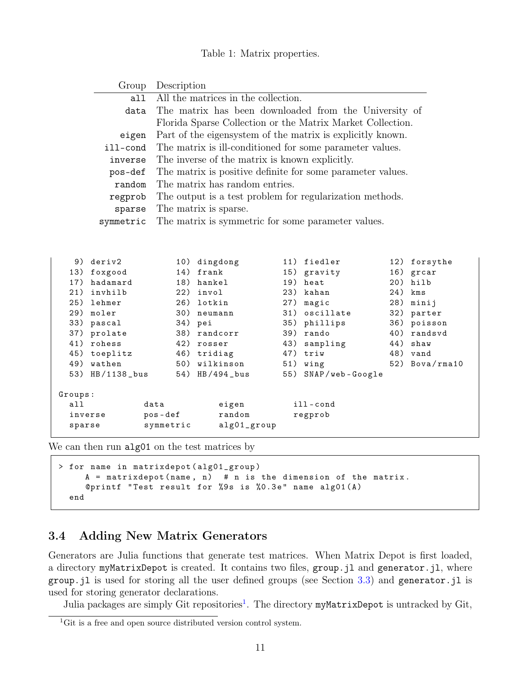#### Table 1: Matrix properties.

<span id="page-11-0"></span>

|         | Group           |           | Description                                                |     |                    |     |                |  |  |  |  |  |
|---------|-----------------|-----------|------------------------------------------------------------|-----|--------------------|-----|----------------|--|--|--|--|--|
|         | a11             |           | All the matrices in the collection.                        |     |                    |     |                |  |  |  |  |  |
|         | data            |           | The matrix has been downloaded from the University of      |     |                    |     |                |  |  |  |  |  |
|         |                 |           | Florida Sparse Collection or the Matrix Market Collection. |     |                    |     |                |  |  |  |  |  |
|         | eigen           |           | Part of the eigensystem of the matrix is explicitly known. |     |                    |     |                |  |  |  |  |  |
|         | ill-cond        |           | The matrix is ill-conditioned for some parameter values.   |     |                    |     |                |  |  |  |  |  |
|         | inverse         |           | The inverse of the matrix is known explicitly.             |     |                    |     |                |  |  |  |  |  |
|         |                 |           | The matrix is positive definite for some parameter values. |     |                    |     |                |  |  |  |  |  |
|         | pos-def         |           |                                                            |     |                    |     |                |  |  |  |  |  |
|         | random          |           | The matrix has random entries.                             |     |                    |     |                |  |  |  |  |  |
|         | regprob         |           | The output is a test problem for regularization methods.   |     |                    |     |                |  |  |  |  |  |
|         | sparse          |           | The matrix is sparse.                                      |     |                    |     |                |  |  |  |  |  |
|         | symmetric       |           | The matrix is symmetric for some parameter values.         |     |                    |     |                |  |  |  |  |  |
|         |                 |           |                                                            |     |                    |     |                |  |  |  |  |  |
|         |                 |           |                                                            |     |                    |     |                |  |  |  |  |  |
|         | 9) deriv2       |           | 10) dingdong                                               |     | 11) fiedler        | 12) | forsythe       |  |  |  |  |  |
| 13)     | foxgood         | 14)       | frank                                                      |     | 15) gravity        |     | 16) grcar      |  |  |  |  |  |
| 17)     | hadamard        |           | 18) hankel                                                 |     | 19) heat           | 20) | hilb           |  |  |  |  |  |
| 21)     | invhilb         |           | 22) invol                                                  | 23) | kahan              | 24) | kms            |  |  |  |  |  |
| 25)     | lehmer          |           | 26) lotkin                                                 | 27) | magic              | 28) | minij          |  |  |  |  |  |
| 29)     | moler           |           | 30) neumann                                                |     | 31) oscillate      | 32) | parter         |  |  |  |  |  |
|         | 33) pascal      |           | 34) pei                                                    |     | 35) phillips       | 36) | poisson        |  |  |  |  |  |
|         | 37) prolate     | 38)       | randcorr                                                   | 39) | rando              | 40) | randsvd        |  |  |  |  |  |
| 41)     | rohess          |           | 42) rosser                                                 | 43) | sampling           | 44) | shaw           |  |  |  |  |  |
| 45)     | toeplitz        |           | 46) tridiag                                                | 47) | triw               | 48) | vand           |  |  |  |  |  |
| 49)     | wathen          |           | 50) wilkinson                                              | 51) | wing               |     | 52) Bova/rma10 |  |  |  |  |  |
|         | 53) HB/1138_bus |           | 54) HB/494_bus                                             | 55) | $SNAP$ /web-Google |     |                |  |  |  |  |  |
|         |                 |           |                                                            |     |                    |     |                |  |  |  |  |  |
| Groups: |                 |           |                                                            |     |                    |     |                |  |  |  |  |  |
| a11     |                 | data      | eigen                                                      |     | ill-cond           |     |                |  |  |  |  |  |
|         | inverse         | pos-def   | random                                                     |     | regprob            |     |                |  |  |  |  |  |
| sparse  |                 | symmetric | alg01_group                                                |     |                    |     |                |  |  |  |  |  |

We can then run alg01 on the test matrices by

```
> for name in matrixdepot ( alg01_group )
     A = matrixdepot (name, n) # n is the dimension of the matrix.
     @printf "Test result for %9s is %0.3e" name alg01(A)
  end
```
## 3.4 Adding New Matrix Generators

Generators are Julia functions that generate test matrices. When Matrix Depot is first loaded, a directory myMatrixDepot is created. It contains two files, group.jl and generator.jl, where group.jl is used for storing all the user defined groups (see Section  $3.3$ ) and generator.jl is used for storing generator declarations.

Julia packages are simply Git repositories<sup>[1](#page-11-1)</sup>. The directory myMatrixDepot is untracked by Git,

<span id="page-11-1"></span><sup>&</sup>lt;sup>1</sup>Git is a free and open source distributed version control system.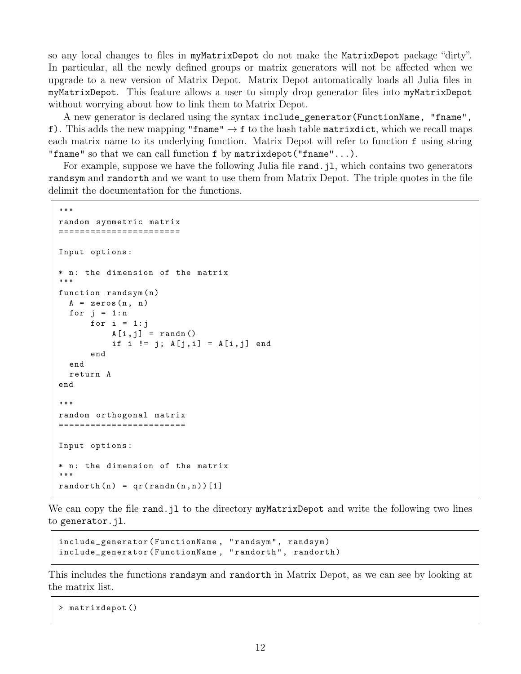so any local changes to files in myMatrixDepot do not make the MatrixDepot package "dirty". In particular, all the newly defined groups or matrix generators will not be affected when we upgrade to a new version of Matrix Depot. Matrix Depot automatically loads all Julia files in myMatrixDepot. This feature allows a user to simply drop generator files into myMatrixDepot without worrying about how to link them to Matrix Depot.

A new generator is declared using the syntax include\_generator(FunctionName, "fname", f). This adds the new mapping "fname"  $\rightarrow$  f to the hash table matrixdict, which we recall maps each matrix name to its underlying function. Matrix Depot will refer to function f using string "fname" so that we can call function f by matrixdepot("fname"...).

For example, suppose we have the following Julia file rand. j1, which contains two generators randsym and randorth and we want to use them from Matrix Depot. The triple quotes in the file delimit the documentation for the functions.

```
"" ""
random symmetric matrix
=======================
Input options :
* n: the dimension of the matrix
"""
function randsym (n)
  A = zeros(n, n)for j = 1:nfor i = 1:jA[i,j] = \text{randn} ()
           if i != j; A[j, i] = A[i, j] end
      end
  end
  return A
end
"""
random orthogonal matrix
========================
Input options :
* n: the dimension of the matrix
"" "
randomth(n) = qr(randn(n, n))[1]
```
We can copy the file rand.jl to the directory myMatrixDepot and write the following two lines to generator.jl.

```
include_generator (FunctionName, "randsym", randsym)
include_generator (FunctionName, "randorth", randorth)
```
This includes the functions randsym and randorth in Matrix Depot, as we can see by looking at the matrix list.

```
> matrixdepot ()
```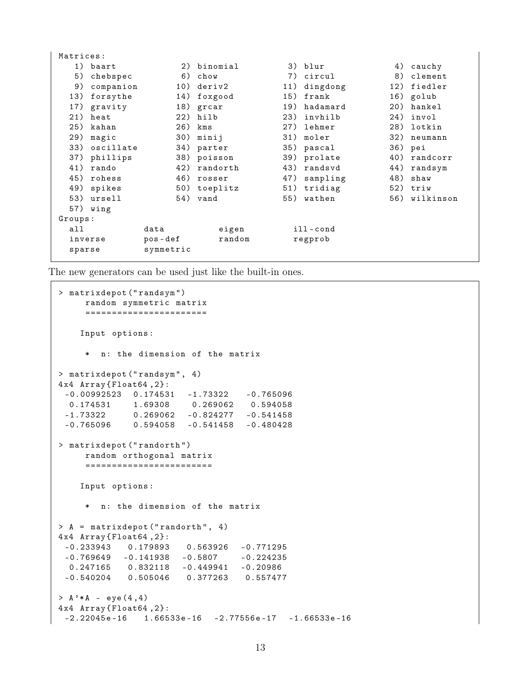| Matrices: |              |           |              |     |             |     |               |
|-----------|--------------|-----------|--------------|-----|-------------|-----|---------------|
|           | 1) baart     |           | 2) binomial  |     | 3) blur     |     | 4) cauchy     |
| 5)        | chebspec     | 6)        | chow         | 7)  | circul      | 8)  | clement       |
| 9)        | companion    | 10)       | deriv2       | 11) | dingdong    | 12) | fiedler       |
| 13)       | forsythe     | 14)       | foxgood      | 15) | frank       |     | 16) golub     |
| 17)       | gravity      |           | 18) grcar    | 19) | hadamard    |     | 20) hankel    |
|           | 21) heat     |           | $22)$ hilb   | 23) | invhilb     |     | 24) invol     |
| 25)       | kahan        |           | 26) kms      | 27) | lehmer      | 28) | lotkin        |
| 29)       | magic        | 30)       | minij        | 31) | moler       | 32) | neumann       |
| 33)       | oscillate    | 34)       | parter       | 35) | pascal      |     | 36) pei       |
|           | 37) phillips |           | 38) poisson  | 39) | prolate     |     | 40) randcorr  |
| 41)       | rando        | 42)       | randorth     | 43) | randsvd     | 44) | randsym       |
| 45)       | rohess       | 46)       | rosser       | 47) | sampling    | 48) | shaw          |
| 49)       | spikes       |           | 50) toeplitz |     | 51) tridiag |     | 52) triw      |
| 53)       | ursell       |           | 54) vand     |     | 55) wathen  |     | 56) wilkinson |
|           | 57) wing     |           |              |     |             |     |               |
| Groups:   |              |           |              |     |             |     |               |
| all       |              | data      | eigen        |     | ill-cond    |     |               |
| inverse   |              | pos-def   | random       |     | regprob     |     |               |
| sparse    |              | symmetric |              |     |             |     |               |
|           |              |           |              |     |             |     |               |

The new generators can be used just like the built-in ones.

```
> matrixdepot (" randsym ")
    random symmetric matrix
     =======================
    Input options :
     * n: the dimension of the matrix
> matrixdepot (" randsym " , 4)
4 x4 Array { Float64 ,2}:
 -0.00992523 0.174531 -1.73322 -0.7650960.174531 1.69308 0.269062 0.594058
 -1.73322 0.269062 -0.824277 -0.541458
-0.765096 0.594058 -0.541458 -0.480428
> matrixdepot (" randorth ")
    random orthogonal matrix
     ========================
    Input options :
     * n : the dimension of the matrix
> A = matrixdepot ("randorth", 4)
4 x4 Array { Float64 ,2}:
 -0.233943 0.179893 0.563926 -0.771295
 -0.769649 -0.141938 -0.5807 -0.2242350.247165 0.832118 -0.449941 -0.20986
-0.540204 0.505046 0.377263 0.557477
> A' * A - eye(4, 4)4 x4 Array { Float64 ,2}:
 -2.22045e - 16 1.66533e - 16 - 2.77556e - 17 - 1.66533e - 16
```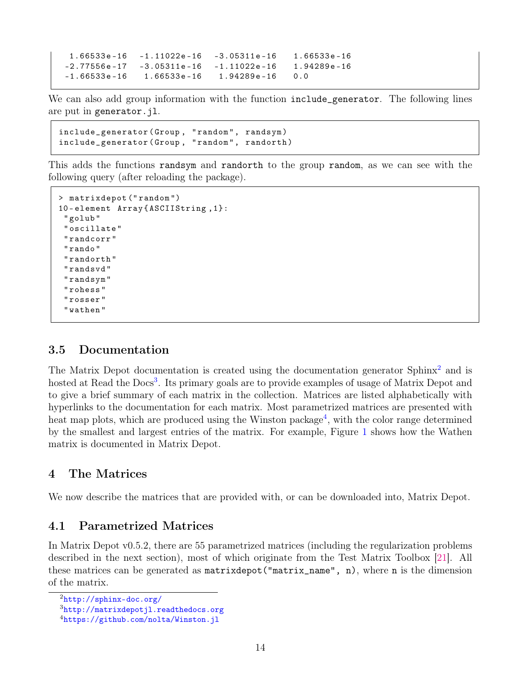```
1.66533 e -16 -1.11022 e -16 -3.05311 e -16 1.66533 e -16
-2.77556e-17 -3.05311e-16 -1.11022e-16 1.94289e-16-1.66533e - 16 1.66533e - 16 1.94289e - 16 0.0
```
We can also add group information with the function include\_generator. The following lines are put in generator.jl.

```
include_generator ( Group , " random " , randsym )
include_generator (Group, "random", randorth)
```
This adds the functions randsym and randorth to the group random, as we can see with the following query (after reloading the package).

```
> matrixdepot (" random ")
10 - element Array { ASCIIString ,1}:
 " golub "
 " oscillate "
 " randcorr "
 " rando "
 " randorth "
 " randsvd "
 " randsym "
 " rohess "
 " rosser "
 " wathen "
```
## 3.5 Documentation

The Matrix Depot documentation is created using the documentation generator  $\text{Sphinx}^2$  $\text{Sphinx}^2$  and is hosted at Read the Docs<sup>[3](#page-14-2)</sup>. Its primary goals are to provide examples of usage of Matrix Depot and to give a brief summary of each matrix in the collection. Matrices are listed alphabetically with hyperlinks to the documentation for each matrix. Most parametrized matrices are presented with heat map plots, which are produced using the Winston package<sup>[4](#page-14-3)</sup>, with the color range determined by the smallest and largest entries of the matrix. For example, Figure [1](#page-15-0) shows how the Wathen matrix is documented in Matrix Depot.

## <span id="page-14-0"></span>4 The Matrices

We now describe the matrices that are provided with, or can be downloaded into, Matrix Depot.

## 4.1 Parametrized Matrices

In Matrix Depot v0.5.2, there are 55 parametrized matrices (including the regularization problems described in the next section), most of which originate from the Test Matrix Toolbox [\[21\]](#page-24-1). All these matrices can be generated as matrixdepot("matrix\_name", n), where n is the dimension of the matrix.

<span id="page-14-1"></span><sup>2</sup><http://sphinx-doc.org/>

<span id="page-14-2"></span><sup>3</sup><http://matrixdepotjl.readthedocs.org>

<span id="page-14-3"></span><sup>4</sup><https://github.com/nolta/Winston.jl>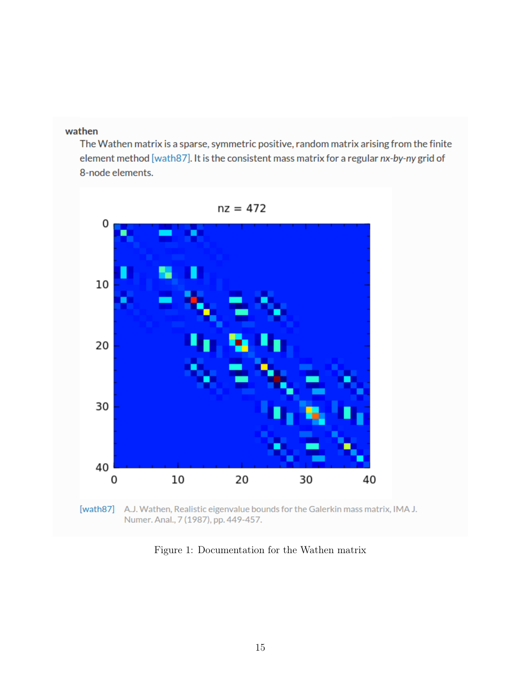#### <span id="page-15-0"></span>wathen

The Wathen matrix is a sparse, symmetric positive, random matrix arising from the finite element method [wath87]. It is the consistent mass matrix for a regular nx-by-ny grid of 8-node elements.



Numer. Anal., 7 (1987), pp. 449-457.

Figure 1: Documentation for the Wathen matrix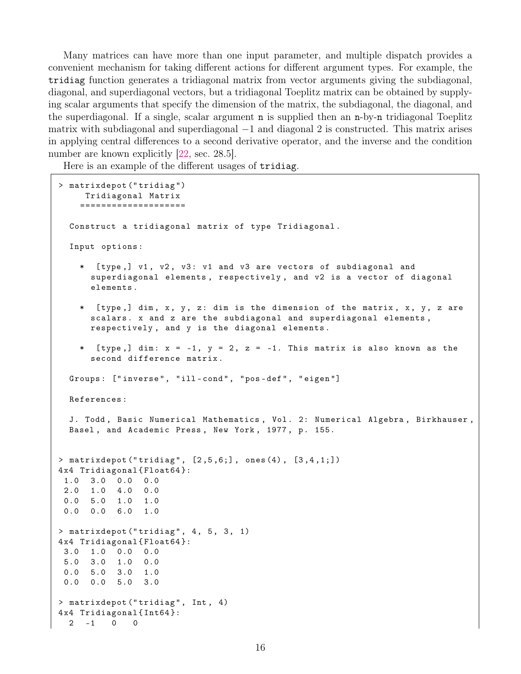Many matrices can have more than one input parameter, and multiple dispatch provides a convenient mechanism for taking different actions for different argument types. For example, the tridiag function generates a tridiagonal matrix from vector arguments giving the subdiagonal, diagonal, and superdiagonal vectors, but a tridiagonal Toeplitz matrix can be obtained by supplying scalar arguments that specify the dimension of the matrix, the subdiagonal, the diagonal, and the superdiagonal. If a single, scalar argument n is supplied then an n-by-n tridiagonal Toeplitz matrix with subdiagonal and superdiagonal  $-1$  and diagonal 2 is constructed. This matrix arises in applying central differences to a second derivative operator, and the inverse and the condition number are known explicitly [\[22,](#page-24-4) sec. 28.5].

Here is an example of the different usages of tridiag.

```
> matrixdepot (" tridiag ")
     Tridiagonal Matrix
    ====================
  Construct a tridiagonal matrix of type Tridiagonal .
  Input options :
    * [ type ,] v1 , v2 , v3 : v1 and v3 are vectors of subdiagonal and
      superdiagonal elements , respectively , and v2 is a vector of diagonal
      elements .
    * [ type ,] dim , x , y , z : dim is the dimension of the matrix , x , y , z are
      scalars. x and z are the subdiagonal and superdiagonal elements,
      respectively , and y is the diagonal elements .
      [type,] dim: x = -1, y = 2, z = -1. This matrix is also known as the
      second difference matrix .
  Groups: ["inverse", "ill-cond", "pos-def", "eigen"]
  References :
  J. Todd, Basic Numerical Mathematics, Vol. 2: Numerical Algebra, Birkhauser,
  Basel, and Academic Press, New York, 1977, p. 155.
> matrixdepot ("tridiag", [2,5,6;], ones (4), [3,4,1;])
4 x4 Tridiagonal { Float64 }:
1.0 3.0 0.0 0.0
2.0 1.0 4.0 0.0
0.0 5.0 1.0 1.0
0.0 0.0 6.0 1.0
> matrixdepot ("tridiag", 4, 5, 3, 1)
4 x4 Tridiagonal { Float64 }:
3.0 1.0 0.0 0.0
5.0 3.0 1.0 0.0
0.0 5.0 3.0 1.0
0.0 0.0 5.0 3.0
> matrixdepot ("tridiag", Int, 4)
4 x4 Tridiagonal { Int64 }:
 2 -1 0 0
```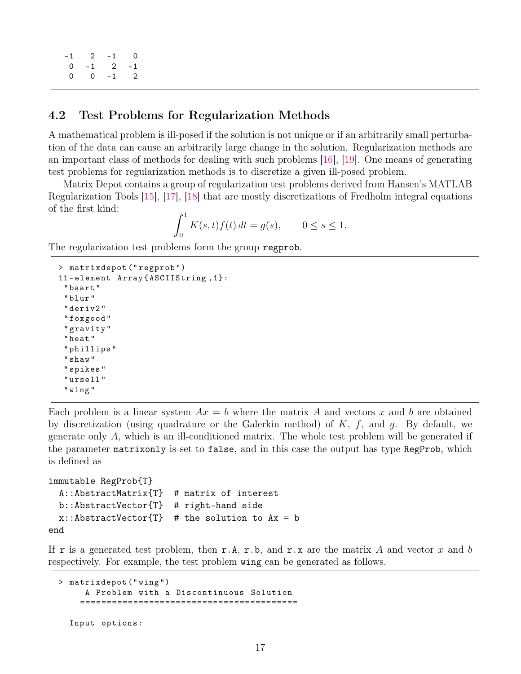```
-1 2 -1 0
0 -1 2 -10 0 -1 2
```
## 4.2 Test Problems for Regularization Methods

A mathematical problem is ill-posed if the solution is not unique or if an arbitrarily small perturbation of the data can cause an arbitrarily large change in the solution. Regularization methods are an important class of methods for dealing with such problems [\[16\]](#page-23-9), [\[19\]](#page-23-10). One means of generating test problems for regularization methods is to discretize a given ill-posed problem.

Matrix Depot contains a group of regularization test problems derived from Hansen's MATLAB Regularization Tools [\[15\]](#page-23-11), [\[17\]](#page-23-12), [\[18\]](#page-23-13) that are mostly discretizations of Fredholm integral equations of the first kind:

$$
\int_0^1 K(s, t) f(t) dt = g(s), \qquad 0 \le s \le 1.
$$

The regularization test problems form the group regprob.

```
> matrixdepot (" regprob ")
11 - element Array { ASCIIString ,1}:
 " baart "
 " blur "
 " deriv2 "
 " foxgood "
 " gravity "
 " heat "
 " phillips "
 " shaw "
 " spikes "
 " ursell "
 " wing "
```
Each problem is a linear system  $Ax = b$  where the matrix A and vectors x and b are obtained by discretization (using quadrature or the Galerkin method) of  $K$ ,  $f$ , and  $g$ . By default, we generate only A, which is an ill-conditioned matrix. The whole test problem will be generated if the parameter matrixonly is set to false, and in this case the output has type RegProb, which is defined as

```
immutable RegProb{T}
 A::AbstractMatrix{T} # matrix of interest
 b::AbstractVector{T} # right-hand side
 x: :AbstractVector\{T\} # the solution to Ax = bend
```
If r is a generated test problem, then r.A, r.b, and r.x are the matrix A and vector x and b respectively. For example, the test problem wing can be generated as follows.

```
> matrixdepot (" wing ")
     A Problem with a Discontinuous Solution
    =========================================
  Input options :
```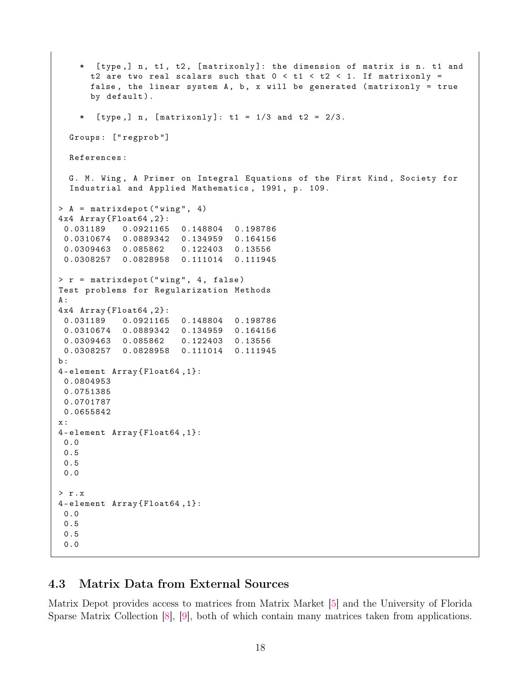```
* [ type ,] n , t1 , t2 , [ matrixonly ]: the dimension of matrix is n . t1 and
      t2 are two real scalars such that 0 < t1 < t2 < 1. If matrixonly =
      false, the linear system A, b, x will be generated (matrixonly = true
      by default).
      [type,] n, [matrixonly]: t1 = 1/3 and t2 = 2/3.Groups : [" regprob "]
  References :
  G. M. Wing, A Primer on Integral Equations of the First Kind, Society for
  Industrial and Applied Mathematics, 1991, p. 109.
> A = matrixdepot ("wing", 4)
4 x4 Array { Float64 ,2}:
 0.031189 0.0921165 0.148804 0.198786
 0.0310674 0.0889342 0.134959 0.164156
 0.0309463 0.085862 0.122403 0.13556
 0.0308257 0.0828958 0.111014 0.111945
> r = matrixdepot (" wing " , 4 , false )
Test problems for Regularization Methods
A:
4 x4 Array { Float64 ,2}:
0.031189 0.0921165 0.148804 0.198786
 0.0310674 0.0889342 0.134959 0.164156
 0.0309463 0.085862 0.122403 0.13556
 0.0308257 0.0828958 0.111014 0.111945
b :
4 - element Array { Float64 ,1}:
 0.0804953
 0.0751385
0.0701787
 0.0655842
x :
4 - element Array { Float64 ,1}:
 0.0
 0.5
 0.5
 0.0
> r . x
4 - element Array { Float64 ,1}:
 0.0
 0.5
 0.5
 0.0
```
## <span id="page-18-0"></span>4.3 Matrix Data from External Sources

Matrix Depot provides access to matrices from Matrix Market [\[5\]](#page-22-4) and the University of Florida Sparse Matrix Collection [\[8\]](#page-23-6), [\[9\]](#page-23-7), both of which contain many matrices taken from applications.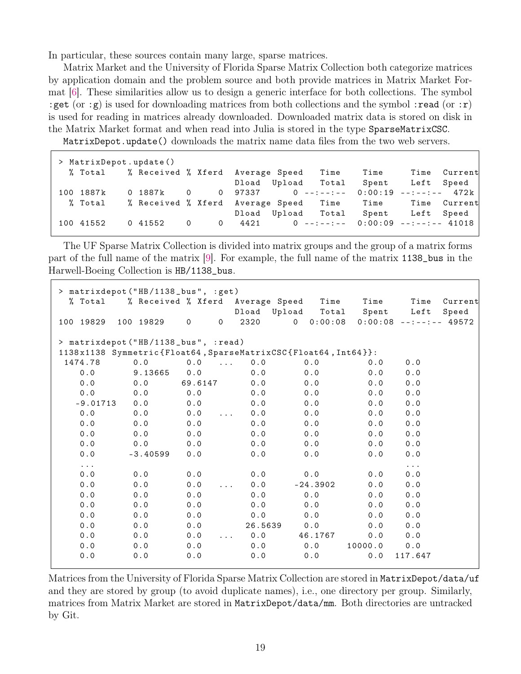In particular, these sources contain many large, sparse matrices.

Matrix Market and the University of Florida Sparse Matrix Collection both categorize matrices by application domain and the problem source and both provide matrices in Matrix Market Format [\[6\]](#page-23-14). These similarities allow us to design a generic interface for both collections. The symbol :get (or :g) is used for downloading matrices from both collections and the symbol :read (or :r) is used for reading in matrices already downloaded. Downloaded matrix data is stored on disk in the Matrix Market format and when read into Julia is stored in the type SparseMatrixCSC.

MatrixDepot.update() downloads the matrix name data files from the two web servers.

| > MatrixDepot.update() |                                                         |  |  |                                            |              |
|------------------------|---------------------------------------------------------|--|--|--------------------------------------------|--------------|
| % Total                | % Received % Xferd Average Speed - Time %               |  |  | Time                                       | Time Current |
|                        |                                                         |  |  | Dload Upload Total Spent Left Speed        |              |
| 100 1887k              | 0 1887k                                                 |  |  |                                            |              |
| % Total                | % Received % Xferd Average Speed Time Time Time Current |  |  |                                            |              |
|                        |                                                         |  |  | Dload Upload Total Spent Left Speed        |              |
| 100 41552              | 0 41552                                                 |  |  | 0 0 4421 0 --:--:-- 0:00:09 --:--:-- 41018 |              |

The UF Sparse Matrix Collection is divided into matrix groups and the group of a matrix forms part of the full name of the matrix [\[9\]](#page-23-7). For example, the full name of the matrix 1138\_bus in the Harwell-Boeing Collection is HB/1138\_bus.

| > matrixdepot ("HB/1138_bus", :get) |                                                                |          |                                        |         |                    |         |                          |         |  |
|-------------------------------------|----------------------------------------------------------------|----------|----------------------------------------|---------|--------------------|---------|--------------------------|---------|--|
| % Total                             | % Received % Xferd Average Speed                               |          |                                        |         | Time               | Time    | Time                     | Current |  |
|                                     |                                                                |          |                                        | Dload   | Upload<br>Total    | Spent   | Left                     | Speed   |  |
| 100 19829                           | 100 19829                                                      | $\Omega$ | $\mathbf 0$                            | 2320    | 0:00:08<br>$\circ$ |         | $0:00:08$ --:--:-- 49572 |         |  |
|                                     | > matrixdepot ("HB/1138_bus", :read)                           |          |                                        |         |                    |         |                          |         |  |
|                                     | 1138x1138 Symmetric{Float64, SparseMatrixCSC{Float64, Int64}}: |          |                                        |         |                    |         |                          |         |  |
| 1474.78                             | 0.0                                                            | 0.0      | $\mathbf{1}$ . The set of $\mathbf{1}$ | 0.0     | 0.0                | 0.0     | 0.0                      |         |  |
| 0.0                                 | 9.13665                                                        | 0.0      |                                        | 0.0     | 0.0                | 0.0     | 0.0                      |         |  |
| 0.0                                 | 0.0                                                            | 69.6147  |                                        | 0.0     | 0.0                | 0.0     | 0.0                      |         |  |
| 0.0                                 | 0.0                                                            | 0.0      |                                        | 0.0     | 0.0                | 0.0     | 0.0                      |         |  |
| $-9.01713$                          | 0.0                                                            | 0.0      |                                        | 0.0     | 0.0                | 0.0     | 0.0                      |         |  |
| 0.0                                 | 0.0                                                            | 0.0      | $\mathbf{1}$ . The set of $\mathbf{1}$ | 0.0     | 0.0                | 0.0     | 0.0                      |         |  |
| 0.0                                 | 0.0                                                            | 0.0      |                                        | 0.0     | 0.0                | 0.0     | 0.0                      |         |  |
| 0.0                                 | 0.0                                                            | 0.0      |                                        | 0.0     | 0.0                | 0.0     | 0.0                      |         |  |
| 0.0                                 | 0.0                                                            | 0.0      |                                        | 0.0     | 0.0                | 0.0     | 0.0                      |         |  |
| 0.0                                 | $-3.40599$                                                     | 0.0      |                                        | 0.0     | 0.0                | 0.0     | 0.0                      |         |  |
| $\cdots$                            |                                                                |          |                                        |         |                    |         | $\cdots$                 |         |  |
| 0.0                                 | 0.0                                                            | 0.0      |                                        | 0.0     | 0.0                | 0.0     | 0.0                      |         |  |
| 0.0                                 | 0.0                                                            | 0.0      | $\cdots$                               | 0.0     | $-24.3902$         | 0.0     | 0.0                      |         |  |
| 0.0                                 | 0.0                                                            | 0.0      |                                        | 0.0     | 0.0                | 0.0     | 0.0                      |         |  |
| 0.0                                 | 0.0                                                            | $0.0$    |                                        | 0.0     | 0.0                | 0.0     | 0.0                      |         |  |
| 0.0                                 | 0.0                                                            | 0.0      |                                        | 0.0     | 0.0                | 0.0     | 0.0                      |         |  |
| 0.0                                 | 0.0                                                            | 0.0      |                                        | 26.5639 | 0.0                | 0.0     | 0.0                      |         |  |
| 0.0                                 | 0.0                                                            | 0.0      | $\ldots$                               | 0.0     | 46.1767            | 0.0     | 0.0                      |         |  |
| 0.0                                 | 0.0                                                            | 0.0      |                                        | 0.0     | 0.0                | 10000.0 | 0.0                      |         |  |
| 0.0                                 | 0.0                                                            | 0.0      |                                        | 0.0     | $0.0$              | 0.0     | 117.647                  |         |  |

Matrices from the University of Florida Sparse Matrix Collection are stored in MatrixDepot/data/uf and they are stored by group (to avoid duplicate names), i.e., one directory per group. Similarly, matrices from Matrix Market are stored in MatrixDepot/data/mm. Both directories are untracked by Git.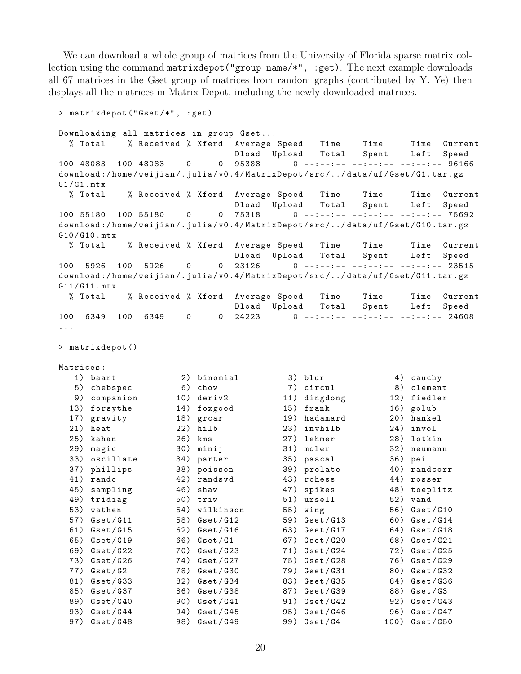We can download a whole group of matrices from the University of Florida sparse matrix collection using the command matrixdepot ("group name/\*", :get). The next example downloads all 67 matrices in the Gset group of matrices from random graphs (contributed by Y. Ye) then displays all the matrices in Matrix Depot, including the newly downloaded matrices.

```
> matrixdepot (" Gset /*" , : get )
Downloading all matrices in group Gset...
 % Total % Received % Xferd Average Speed Time Time Time Current
                          Dload Upload Total Spent Left Speed
100 48083 100 48083 0 0 95388 0 --:--:-- --:--:-- --:--:-- 96166
download :/ home / weijian /. julia / v0 .4/ MatrixDepot / src /../ data / uf / Gset / G1 . tar . gz
G1/G1.mtx% Total % Received % Xferd Average Speed Time Time Time Current
                          Dload Upload Total Spent Left Speed
100 55180 100 55180 0 0 75318 0 --:--:-- --:--:-- --:--- 75692
download :/ home / weijian /. julia / v0 .4/ MatrixDepot / src /../ data / uf / Gset / G10 . tar . gz
G10/G10.mtx% Total % Received % Xferd Average Speed Time Time Time Current
                          Dload Upload Total Spent Left Speed
100 5926 100 5926 0 0 23126 0 --:--:-- --:--:-- --:--:-- 23515
download :/ home / weijian /. julia / v0 .4/ MatrixDepot / src /../ data / uf / Gset / G11 . tar . gz
G11 / G11 . mtx
 % Total % Received % Xferd Average Speed Time Time Time Current
                          Dload Upload Total Spent Left Speed
100 6349 100 6349 0 0 24223 0 - -: - -: - - - -: - -: - - - -: - -: - - 24608
...
> matrixdepot ()
Matrices :
  1) baart 2) binomial 3) blur 4) cauchy
  5) chebspec 6) chow 7) circul 8) clement
  9) companion 10) deriv2 11) dingdong 12) fiedler
 13) forsythe 14) foxgood 15) frank 16) golub
 17) gravity 18) grcar 19) hadamard 20) hankel
 21) heat 22) hilb 23) invhilb 24) invol
 25) kahan 26) kms 27) lehmer 28) lotkin
 29) magic 30) minij 31) moler 32) neumann
 33) oscillate 34) parter 35) pascal 36) pei
 37) phillips 38) poisson 39) prolate 40) randcorr
 41) rando 42) randsvd 43) rohess 44) rosser
 45) sampling 46) shaw 47) spikes 48) toeplitz
 49) tridiag 50) triw 51) ursell 52) vand
 53) wathen 54) wilkinson 55) wing 56) Gset/G10
 57) Gset/G11 58) Gset/G12 59) Gset/G13 60) Gset/G14
 61) Gset / G15 62) Gset / G16 63) Gset / G17 64) Gset / G18
 65) Gset / G19 66) Gset / G1 67) Gset / G20 68) Gset / G21
 69) Gset / G22 70) Gset / G23 71) Gset / G24 72) Gset / G25
 73) Gset / G26 74) Gset / G27 75) Gset / G28 76) Gset / G29
 77) Gset/G2 78) Gset/G30 79) Gset/G31 80) Gset/G32
 81) Gset / G33 82) Gset / G34 83) Gset / G35 84) Gset / G36
 85) Gset/G37 86) Gset/G38 87) Gset/G39 88) Gset/G3
 89) Gset/G40 90) Gset/G41 91) Gset/G42 92) Gset/G43
 93) Gset/G44 94) Gset/G45 95) Gset/G46 96) Gset/G47
 97) Gset/G48 98) Gset/G49 99) Gset/G4 100) Gset/G50
```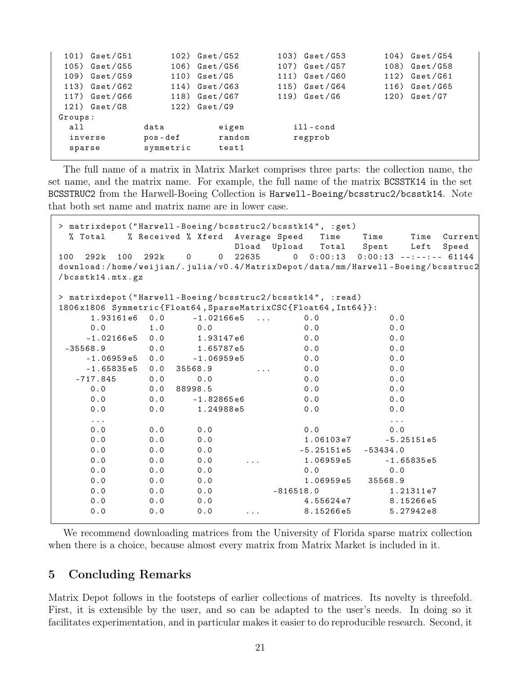| $101)$ Gset/G51 |           | $102)$ Gset/G52 | $103)$ Gset/G53 | $104)$ Gset/G54 |
|-----------------|-----------|-----------------|-----------------|-----------------|
| $105)$ Gset/G55 |           | $106)$ Gset/G56 | $107)$ Gset/G57 | 108) Gset/G58   |
| $109)$ Gset/G59 |           | $110)$ Gset/G5  | $111)$ Gset/G60 | $112)$ Gset/G61 |
| $113)$ Gset/G62 |           | $114)$ Gset/G63 | $115)$ Gset/G64 | $116)$ Gset/G65 |
| $117)$ Gset/G66 |           | $118)$ Gset/G67 | $119)$ Gset/G6  | $120)$ Gset/G7  |
| $121)$ Gset/G8  |           | $122)$ Gset/G9  |                 |                 |
| Groups:         |           |                 |                 |                 |
| all             | data      | eigen           | ill-cond        |                 |
| inverse         | pos-def   | random          | regprob         |                 |
| sparse          | symmetric | test1           |                 |                 |
|                 |           |                 |                 |                 |

The full name of a matrix in Matrix Market comprises three parts: the collection name, the set name, and the matrix name. For example, the full name of the matrix BCSSTK14 in the set BCSSTRUC2 from the Harwell-Boeing Collection is Harwell-Boeing/bcsstruc2/bcsstk14. Note that both set name and matrix name are in lower case.

```
> matrixdepot ("Harwell-Boeing/bcsstruc2/bcsstk14", :get)
 % Total % Received % Xferd Average Speed Time Time Time Current
                     Dload Upload Total Spent Left Speed
100 292k 100 292k 0 0 22635 0 0:00:13 0:00:13 --:--:-- 61144
download :/ home / weijian /. julia / v0 .4/ MatrixDepot / data / mm / Harwell - Boeing / bcsstruc2
/ bcsstk14 . mtx . gz
> matrixdepot ("Harwell-Boeing/bcsstruc2/bcsstk14", :read)
1806 x1806 Symmetric { Float64 , SparseMatrixCSC { Float64 , Int64 }}:
   1.93161e6  0.0  -1.02166e5  ...  0.0  0.0
    0.0 1.0 0.0 0.0 0.0
   -1.02166 e5 0.0 1.93147 e6 0.0 0.0
-35568.9 0.0 1.65787 e5 0.0 0.0
   -1.06959 e5 0.0 -1.06959 e5 0.0 0.0
   -1.65835 e5 0.0 35568.9 ... 0.0 0.0
  -717.845 0.0 0.0 0.0 0.0
   0.0 0.0 88998.5 0.0 0.0
   0.0 0.0 -1.82865e6 0.0 0.00.0 0.0 1.24988 \text{ e}5 0.0 0.0... ...
    0.0 0.0 0.0 0.0 0.0 0.0
   0.0 0.0 0.0 1.06103e7 -5.25151e5
   0.0 0.0 0.0 -5.25151 e5 -53434.0
   0.0 0.0 0.0 ... 1.06959e5 -1.65835e5
    0.0 0.0 0.0 0.0 0.0 0.0
   0.0 0.0 0.0 0.0 1.06959e5 35568.9
   0.0 0.0 0.0 -816518.0 1.21311 e7
   0.0 0.0 0.0 4.55624e7 8.15266e5
   0.0 0.0 0.0 ... 8.15266e5 5.27942e8
```
We recommend downloading matrices from the University of Florida sparse matrix collection when there is a choice, because almost every matrix from Matrix Market is included in it.

## <span id="page-21-0"></span>5 Concluding Remarks

Matrix Depot follows in the footsteps of earlier collections of matrices. Its novelty is threefold. First, it is extensible by the user, and so can be adapted to the user's needs. In doing so it facilitates experimentation, and in particular makes it easier to do reproducible research. Second, it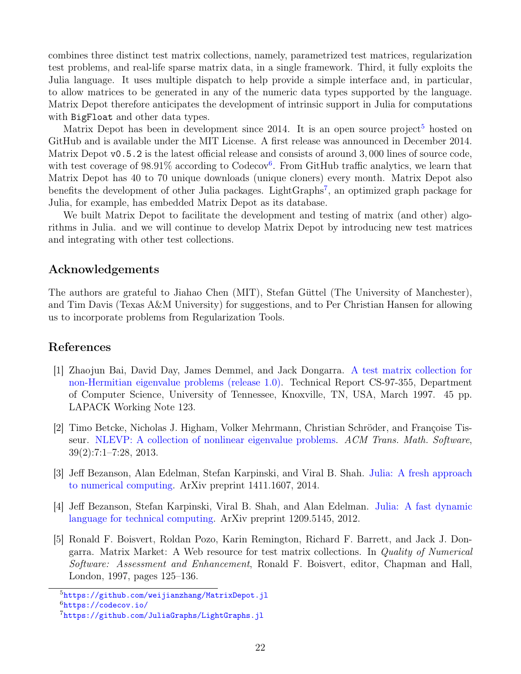combines three distinct test matrix collections, namely, parametrized test matrices, regularization test problems, and real-life sparse matrix data, in a single framework. Third, it fully exploits the Julia language. It uses multiple dispatch to help provide a simple interface and, in particular, to allow matrices to be generated in any of the numeric data types supported by the language. Matrix Depot therefore anticipates the development of intrinsic support in Julia for computations with BigFloat and other data types.

Matrix Depot has been in development since 2014. It is an open source project<sup>[5](#page-22-5)</sup> hosted on GitHub and is available under the MIT License. A first release was announced in December 2014. Matrix Depot v0.5.2 is the latest official release and consists of around 3,000 lines of source code, with test coverage of 98.91% according to Codecov<sup>[6](#page-22-6)</sup>. From GitHub traffic analytics, we learn that Matrix Depot has 40 to 70 unique downloads (unique cloners) every month. Matrix Depot also benefits the development of other Julia packages. LightGraphs<sup>[7](#page-22-7)</sup>, an optimized graph package for Julia, for example, has embedded Matrix Depot as its database.

We built Matrix Depot to facilitate the development and testing of matrix (and other) algorithms in Julia. and we will continue to develop Matrix Depot by introducing new test matrices and integrating with other test collections.

#### Acknowledgements

The authors are grateful to Jiahao Chen (MIT), Stefan Güttel (The University of Manchester), and Tim Davis (Texas A&M University) for suggestions, and to Per Christian Hansen for allowing us to incorporate problems from Regularization Tools.

#### References

- <span id="page-22-0"></span>[1] Zhaojun Bai, David Day, James Demmel, and Jack Dongarra. [A test matrix collection for](http://www.netlib.org/lapack/lawnspdf/lawn123.pdf) [non-Hermitian eigenvalue problems \(release 1.0\).](http://www.netlib.org/lapack/lawnspdf/lawn123.pdf) Technical Report CS-97-355, Department of Computer Science, University of Tennessee, Knoxville, TN, USA, March 1997. 45 pp. LAPACK Working Note 123.
- <span id="page-22-1"></span>[2] Timo Betcke, Nicholas J. Higham, Volker Mehrmann, Christian Schröder, and Françoise Tisseur. [NLEVP: A collection of nonlinear eigenvalue problems.](http://dx.doi.org/10.1145/2427023.2427024) ACM Trans. Math. Software, 39(2):7:1–7:28, 2013.
- <span id="page-22-2"></span>[3] Jeff Bezanson, Alan Edelman, Stefan Karpinski, and Viral B. Shah. [Julia: A fresh approach](http://arxiv.org/abs/1411.1607) [to numerical computing.](http://arxiv.org/abs/1411.1607) ArXiv preprint 1411.1607, 2014.
- <span id="page-22-3"></span>[4] Jeff Bezanson, Stefan Karpinski, Viral B. Shah, and Alan Edelman. [Julia: A fast dynamic](http://arxiv.org/abs/1209.5145) [language for technical computing.](http://arxiv.org/abs/1209.5145) ArXiv preprint 1209.5145, 2012.
- <span id="page-22-4"></span>[5] Ronald F. Boisvert, Roldan Pozo, Karin Remington, Richard F. Barrett, and Jack J. Dongarra. Matrix Market: A Web resource for test matrix collections. In Quality of Numerical Software: Assessment and Enhancement, Ronald F. Boisvert, editor, Chapman and Hall, London, 1997, pages 125–136.

<span id="page-22-5"></span><sup>5</sup><https://github.com/weijianzhang/MatrixDepot.jl>

<span id="page-22-6"></span><sup>6</sup><https://codecov.io/>

<span id="page-22-7"></span><sup>7</sup><https://github.com/JuliaGraphs/LightGraphs.jl>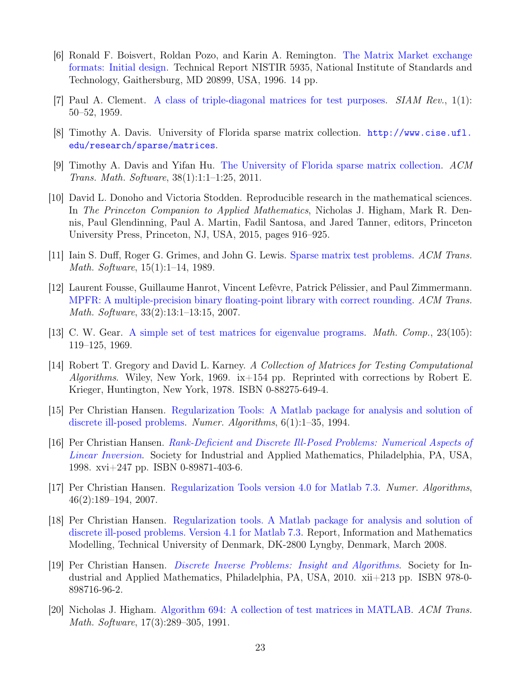- <span id="page-23-14"></span>[6] Ronald F. Boisvert, Roldan Pozo, and Karin A. Remington. [The Matrix Market exchange](http://math.nist.gov/MatrixMarket/formats.html) [formats: Initial design.](http://math.nist.gov/MatrixMarket/formats.html) Technical Report NISTIR 5935, National Institute of Standards and Technology, Gaithersburg, MD 20899, USA, 1996. 14 pp.
- <span id="page-23-1"></span>[7] Paul A. Clement. [A class of triple-diagonal matrices for test purposes.](http://dx.doi.org/10.1137/1001006) SIAM Rev., 1(1): 50–52, 1959.
- <span id="page-23-6"></span>[8] Timothy A. Davis. University of Florida sparse matrix collection. [http://www.cise.ufl.](http://www.cise.ufl.edu/research/sparse/matrices) [edu/research/sparse/matrices](http://www.cise.ufl.edu/research/sparse/matrices).
- <span id="page-23-7"></span>[9] Timothy A. Davis and Yifan Hu. [The University of Florida sparse matrix collection.](http://dx.doi.org/10.1145/2049662.2049663) ACM Trans. Math. Software, 38(1):1:1–1:25, 2011.
- <span id="page-23-3"></span>[10] David L. Donoho and Victoria Stodden. Reproducible research in the mathematical sciences. In The Princeton Companion to Applied Mathematics, Nicholas J. Higham, Mark R. Dennis, Paul Glendinning, Paul A. Martin, Fadil Santosa, and Jared Tanner, editors, Princeton University Press, Princeton, NJ, USA, 2015, pages 916–925.
- <span id="page-23-5"></span>[11] Iain S. Duff, Roger G. Grimes, and John G. Lewis. [Sparse matrix test problems.](http://dx.doi.org/10.1145/62038.62043) ACM Trans. Math. Software, 15(1):1–14, 1989.
- <span id="page-23-8"></span>[12] Laurent Fousse, Guillaume Hanrot, Vincent Lefèvre, Patrick Pélissier, and Paul Zimmermann. [MPFR: A multiple-precision binary floating-point library with correct rounding.](http://dx.doi.org/10.1145/1236463.1236468) ACM Trans. Math. Software, 33(2):13:1–13:15, 2007.
- <span id="page-23-2"></span>[13] C. W. Gear. [A simple set of test matrices for eigenvalue programs.](http://dx.doi.org/10.1090/S0025-5718-1969-0238477-8) Math. Comp., 23(105): 119–125, 1969.
- <span id="page-23-0"></span>[14] Robert T. Gregory and David L. Karney. A Collection of Matrices for Testing Computational Algorithms. Wiley, New York, 1969. ix $+154$  pp. Reprinted with corrections by Robert E. Krieger, Huntington, New York, 1978. ISBN 0-88275-649-4.
- <span id="page-23-11"></span>[15] Per Christian Hansen. [Regularization Tools: A Matlab package for analysis and solution of](http://dx.doi.org/10.1007/BF02149761) [discrete ill-posed problems.](http://dx.doi.org/10.1007/BF02149761) Numer. Algorithms, 6(1):1–35, 1994.
- <span id="page-23-9"></span>[16] Per Christian Hansen. [Rank-Deficient and Discrete Ill-Posed Problems: Numerical Aspects of](http://dx.doi.org/10.1137/1.9780898719697) [Linear Inversion](http://dx.doi.org/10.1137/1.9780898719697). Society for Industrial and Applied Mathematics, Philadelphia, PA, USA, 1998. xvi+247 pp. ISBN 0-89871-403-6.
- <span id="page-23-12"></span>[17] Per Christian Hansen. [Regularization Tools version 4.0 for Matlab 7.3.](http://dx.doi.org/10.1007/s11075-007-9136-9) Numer. Algorithms, 46(2):189–194, 2007.
- <span id="page-23-13"></span>[18] Per Christian Hansen. [Regularization tools. A Matlab package for analysis and solution of](http://www.imm.dtu.dk/~pcha/Regutools/index.html) [discrete ill-posed problems. Version 4.1 for Matlab 7.3.](http://www.imm.dtu.dk/~pcha/Regutools/index.html) Report, Information and Mathematics Modelling, Technical University of Denmark, DK-2800 Lyngby, Denmark, March 2008.
- <span id="page-23-10"></span>[19] Per Christian Hansen. [Discrete Inverse Problems: Insight and Algorithms](http://dx.doi.org/10.1137/1.9780898718836). Society for Industrial and Applied Mathematics, Philadelphia, PA, USA, 2010. xii+213 pp. ISBN 978-0- 898716-96-2.
- <span id="page-23-4"></span>[20] Nicholas J. Higham. [Algorithm 694: A collection of test matrices in MATLAB.](http://dx.doi.org/10.1145/114697.116805) ACM Trans. Math. Software, 17(3):289–305, 1991.